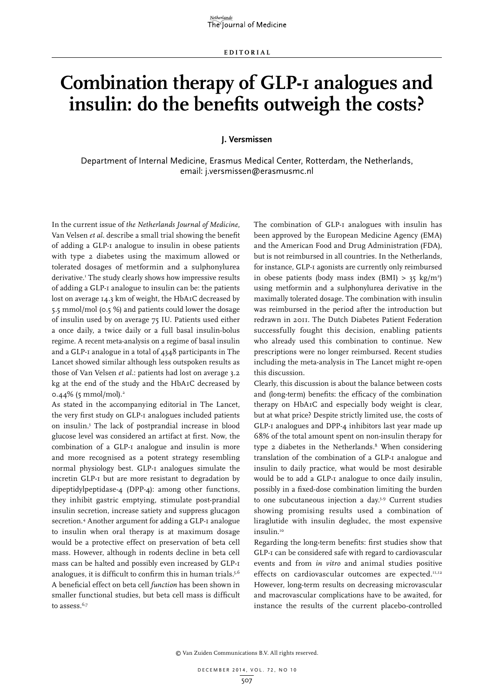## **Combination therapy of GLP-1 analogues and insulin: do the benefits outweigh the costs?**

## **J. Versmissen**

Department of Internal Medicine, Erasmus Medical Center, Rotterdam, the Netherlands, email: j.versmissen@erasmusmc.nl

In the current issue of *the Netherlands Journal of Medicine*, Van Velsen *et al*. describe a small trial showing the benefit of adding a GLP-1 analogue to insulin in obese patients with type 2 diabetes using the maximum allowed or tolerated dosages of metformin and a sulphonylurea derivative.1 The study clearly shows how impressive results of adding a GLP-1 analogue to insulin can be: the patients lost on average 14.3 km of weight, the HbA1C decreased by 5.5 mmol/mol (0.5 %) and patients could lower the dosage of insulin used by on average 75 IU. Patients used either a once daily, a twice daily or a full basal insulin-bolus regime. A recent meta-analysis on a regime of basal insulin and a GLP-1 analogue in a total of 4348 participants in The Lancet showed similar although less outspoken results as those of Van Velsen *et al.*: patients had lost on average 3.2 kg at the end of the study and the HbA1C decreased by 0.44% (5 mmol/mol).<sup>2</sup>

As stated in the accompanying editorial in The Lancet, the very first study on GLP-1 analogues included patients on insulin.3 The lack of postprandial increase in blood glucose level was considered an artifact at first. Now, the combination of a GLP-1 analogue and insulin is more and more recognised as a potent strategy resembling normal physiology best. GLP-1 analogues simulate the incretin GLP-1 but are more resistant to degradation by dipeptidylpeptidase-4 (DPP-4): among other functions, they inhibit gastric emptying, stimulate post-prandial insulin secretion, increase satiety and suppress glucagon secretion.4 Another argument for adding a GLP-1 analogue to insulin when oral therapy is at maximum dosage would be a protective effect on preservation of beta cell mass. However, although in rodents decline in beta cell mass can be halted and possibly even increased by GLP-1 analogues, it is difficult to confirm this in human trials.<sup>5,6</sup> A beneficial effect on beta cell *function* has been shown in smaller functional studies, but beta cell mass is difficult to assess.<sup>6,7</sup>

The combination of GLP-1 analogues with insulin has been approved by the European Medicine Agency (EMA) and the American Food and Drug Administration (FDA), but is not reimbursed in all countries. In the Netherlands, for instance, GLP-1 agonists are currently only reimbursed in obese patients (body mass index  $(BMI) > 35 \text{ kg/m}^2$ ) using metformin and a sulphonylurea derivative in the maximally tolerated dosage. The combination with insulin was reimbursed in the period after the introduction but redrawn in 2011. The Dutch Diabetes Patient Federation successfully fought this decision, enabling patients who already used this combination to continue. New prescriptions were no longer reimbursed. Recent studies including the meta-analysis in The Lancet might re-open this discussion.

Clearly, this discussion is about the balance between costs and (long-term) benefits: the efficacy of the combination therapy on HbA1C and especially body weight is clear, but at what price? Despite strictly limited use, the costs of GLP-1 analogues and DPP-4 inhibitors last year made up 68% of the total amount spent on non-insulin therapy for type 2 diabetes in the Netherlands.<sup>8</sup> When considering translation of the combination of a GLP-1 analogue and insulin to daily practice, what would be most desirable would be to add a GLP-1 analogue to once daily insulin, possibly in a fixed-dose combination limiting the burden to one subcutaneous injection a day.3,9 Current studies showing promising results used a combination of liraglutide with insulin degludec, the most expensive insulin.<sup>10</sup>

Regarding the long-term benefits: first studies show that GLP-1 can be considered safe with regard to cardiovascular events and from *in vitro* and animal studies positive effects on cardiovascular outcomes are expected.<sup>11,12</sup> However, long-term results on decreasing microvascular and macrovascular complications have to be awaited, for instance the results of the current placebo-controlled

© Van Zuiden Communications B.V. All rights reserved.